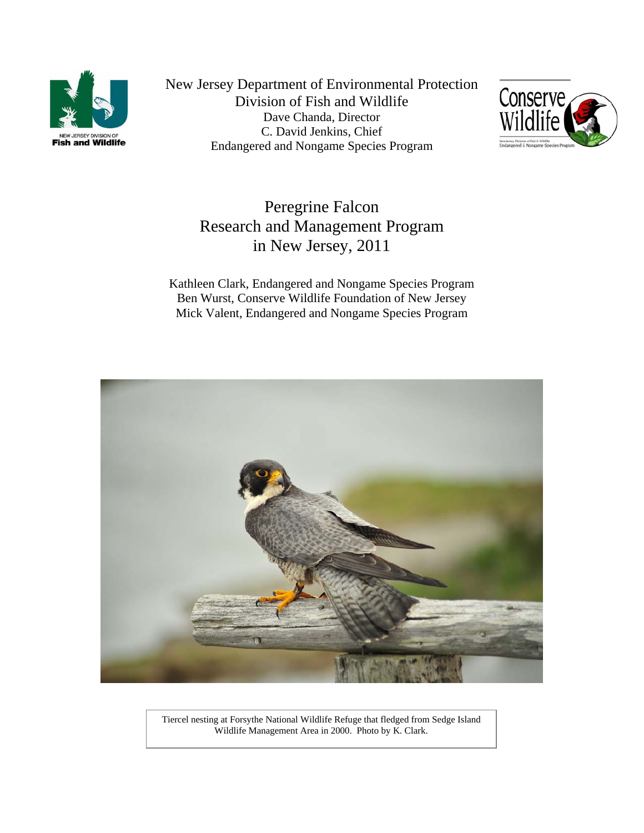

New Jersey Department of Environmental Protection Division of Fish and Wildlife Dave Chanda, Director C. David Jenkins, Chief Endangered and Nongame Species Program



# Peregrine Falcon Research and Management Program in New Jersey, 2011

Kathleen Clark, Endangered and Nongame Species Program Ben Wurst, Conserve Wildlife Foundation of New Jersey Mick Valent, Endangered and Nongame Species Program



Tiercel nesting at Forsythe National Wildlife Refuge that fledged from Sedge Island Wildlife Management Area in 2000. Photo by K. Clark.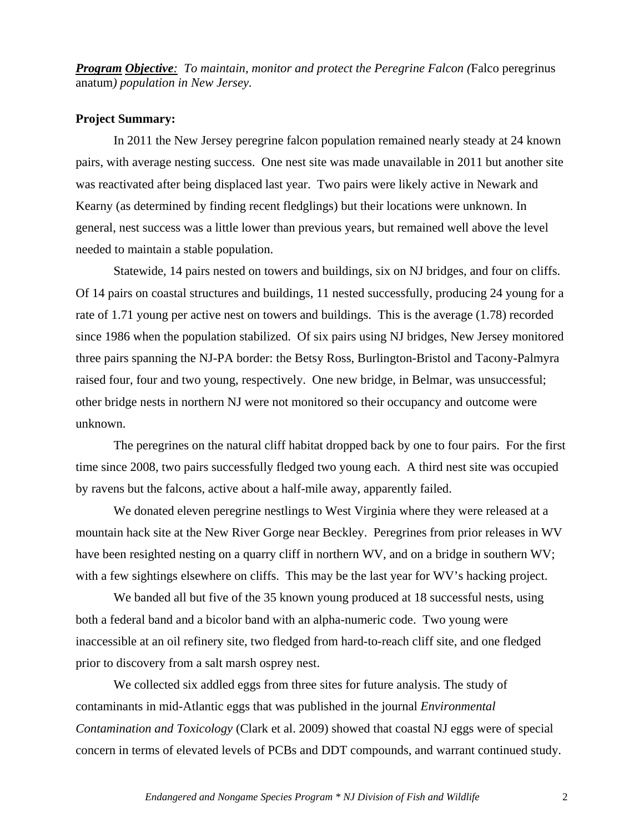*Program Objective: To maintain, monitor and protect the Peregrine Falcon (*Falco peregrinus anatum*) population in New Jersey.*

## **Project Summary:**

In 2011 the New Jersey peregrine falcon population remained nearly steady at 24 known pairs, with average nesting success. One nest site was made unavailable in 2011 but another site was reactivated after being displaced last year. Two pairs were likely active in Newark and Kearny (as determined by finding recent fledglings) but their locations were unknown. In general, nest success was a little lower than previous years, but remained well above the level needed to maintain a stable population.

Statewide, 14 pairs nested on towers and buildings, six on NJ bridges, and four on cliffs. Of 14 pairs on coastal structures and buildings, 11 nested successfully, producing 24 young for a rate of 1.71 young per active nest on towers and buildings. This is the average (1.78) recorded since 1986 when the population stabilized. Of six pairs using NJ bridges, New Jersey monitored three pairs spanning the NJ-PA border: the Betsy Ross, Burlington-Bristol and Tacony-Palmyra raised four, four and two young, respectively. One new bridge, in Belmar, was unsuccessful; other bridge nests in northern NJ were not monitored so their occupancy and outcome were unknown.

The peregrines on the natural cliff habitat dropped back by one to four pairs. For the first time since 2008, two pairs successfully fledged two young each. A third nest site was occupied by ravens but the falcons, active about a half-mile away, apparently failed.

We donated eleven peregrine nestlings to West Virginia where they were released at a mountain hack site at the New River Gorge near Beckley. Peregrines from prior releases in WV have been resighted nesting on a quarry cliff in northern WV, and on a bridge in southern WV; with a few sightings elsewhere on cliffs. This may be the last year for WV's hacking project.

We banded all but five of the 35 known young produced at 18 successful nests, using both a federal band and a bicolor band with an alpha-numeric code. Two young were inaccessible at an oil refinery site, two fledged from hard-to-reach cliff site, and one fledged prior to discovery from a salt marsh osprey nest.

We collected six addled eggs from three sites for future analysis. The study of contaminants in mid-Atlantic eggs that was published in the journal *Environmental Contamination and Toxicology* (Clark et al. 2009) showed that coastal NJ eggs were of special concern in terms of elevated levels of PCBs and DDT compounds, and warrant continued study.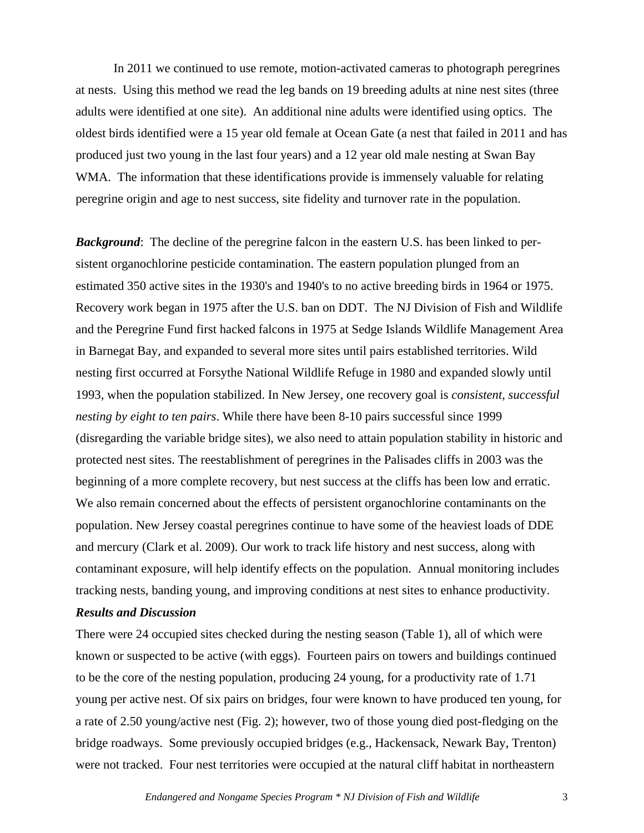In 2011 we continued to use remote, motion-activated cameras to photograph peregrines at nests. Using this method we read the leg bands on 19 breeding adults at nine nest sites (three adults were identified at one site). An additional nine adults were identified using optics. The oldest birds identified were a 15 year old female at Ocean Gate (a nest that failed in 2011 and has produced just two young in the last four years) and a 12 year old male nesting at Swan Bay WMA. The information that these identifications provide is immensely valuable for relating peregrine origin and age to nest success, site fidelity and turnover rate in the population.

**Background**: The decline of the peregrine falcon in the eastern U.S. has been linked to persistent organochlorine pesticide contamination. The eastern population plunged from an estimated 350 active sites in the 1930's and 1940's to no active breeding birds in 1964 or 1975. Recovery work began in 1975 after the U.S. ban on DDT. The NJ Division of Fish and Wildlife and the Peregrine Fund first hacked falcons in 1975 at Sedge Islands Wildlife Management Area in Barnegat Bay, and expanded to several more sites until pairs established territories. Wild nesting first occurred at Forsythe National Wildlife Refuge in 1980 and expanded slowly until 1993, when the population stabilized. In New Jersey, one recovery goal is *consistent, successful nesting by eight to ten pairs*. While there have been 8-10 pairs successful since 1999 (disregarding the variable bridge sites), we also need to attain population stability in historic and protected nest sites. The reestablishment of peregrines in the Palisades cliffs in 2003 was the beginning of a more complete recovery, but nest success at the cliffs has been low and erratic. We also remain concerned about the effects of persistent organochlorine contaminants on the population. New Jersey coastal peregrines continue to have some of the heaviest loads of DDE and mercury (Clark et al. 2009). Our work to track life history and nest success, along with contaminant exposure, will help identify effects on the population. Annual monitoring includes tracking nests, banding young, and improving conditions at nest sites to enhance productivity.

## *Results and Discussion*

There were 24 occupied sites checked during the nesting season (Table 1), all of which were known or suspected to be active (with eggs). Fourteen pairs on towers and buildings continued to be the core of the nesting population, producing 24 young, for a productivity rate of 1.71 young per active nest. Of six pairs on bridges, four were known to have produced ten young, for a rate of 2.50 young/active nest (Fig. 2); however, two of those young died post-fledging on the bridge roadways. Some previously occupied bridges (e.g., Hackensack, Newark Bay, Trenton) were not tracked. Four nest territories were occupied at the natural cliff habitat in northeastern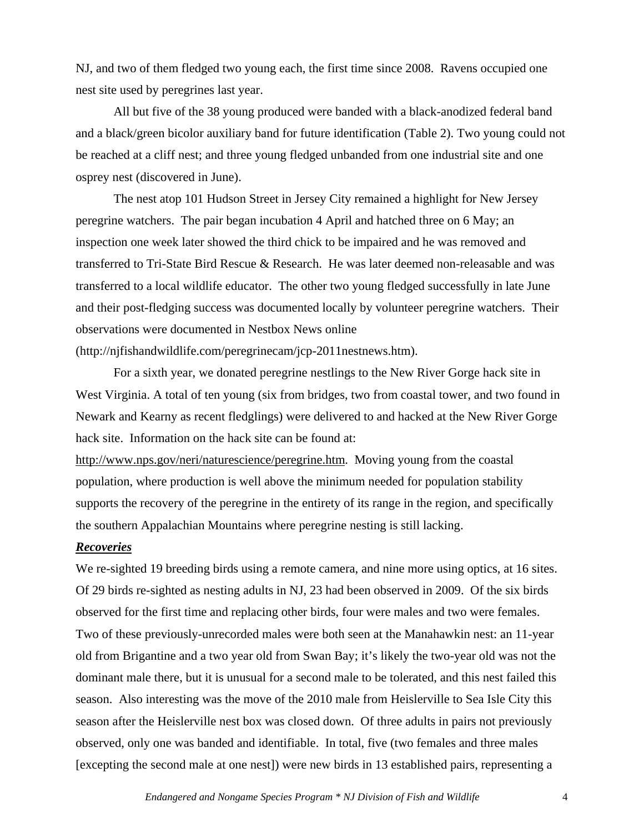NJ, and two of them fledged two young each, the first time since 2008. Ravens occupied one nest site used by peregrines last year.

All but five of the 38 young produced were banded with a black-anodized federal band and a black/green bicolor auxiliary band for future identification (Table 2). Two young could not be reached at a cliff nest; and three young fledged unbanded from one industrial site and one osprey nest (discovered in June).

 The nest atop 101 Hudson Street in Jersey City remained a highlight for New Jersey peregrine watchers. The pair began incubation 4 April and hatched three on 6 May; an inspection one week later showed the third chick to be impaired and he was removed and transferred to Tri-State Bird Rescue & Research. He was later deemed non-releasable and was transferred to a local wildlife educator. The other two young fledged successfully in late June and their post-fledging success was documented locally by volunteer peregrine watchers. Their observations were documented in Nestbox News online (http://njfishandwildlife.com/peregrinecam/jcp-2011nestnews.htm).

For a sixth year, we donated peregrine nestlings to the New River Gorge hack site in West Virginia. A total of ten young (six from bridges, two from coastal tower, and two found in Newark and Kearny as recent fledglings) were delivered to and hacked at the New River Gorge hack site. Information on the hack site can be found at:

<http://www.nps.gov/neri/naturescience/peregrine.htm>. Moving young from the coastal population, where production is well above the minimum needed for population stability supports the recovery of the peregrine in the entirety of its range in the region, and specifically the southern Appalachian Mountains where peregrine nesting is still lacking.

## *Recoveries*

We re-sighted 19 breeding birds using a remote camera, and nine more using optics, at 16 sites. Of 29 birds re-sighted as nesting adults in NJ, 23 had been observed in 2009. Of the six birds observed for the first time and replacing other birds, four were males and two were females. Two of these previously-unrecorded males were both seen at the Manahawkin nest: an 11-year old from Brigantine and a two year old from Swan Bay; it's likely the two-year old was not the dominant male there, but it is unusual for a second male to be tolerated, and this nest failed this season. Also interesting was the move of the 2010 male from Heislerville to Sea Isle City this season after the Heislerville nest box was closed down. Of three adults in pairs not previously observed, only one was banded and identifiable. In total, five (two females and three males [excepting the second male at one nest]) were new birds in 13 established pairs, representing a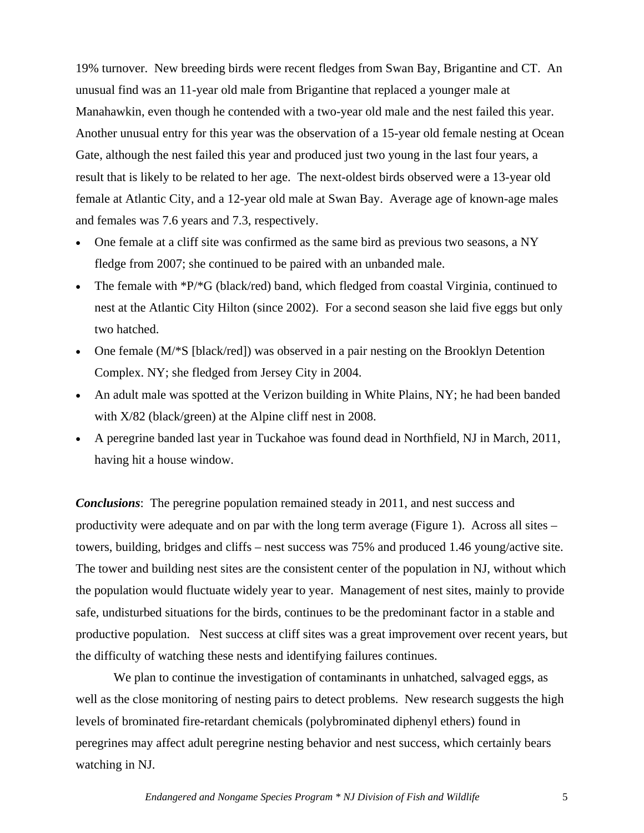19% turnover. New breeding birds were recent fledges from Swan Bay, Brigantine and CT. An unusual find was an 11-year old male from Brigantine that replaced a younger male at Manahawkin, even though he contended with a two-year old male and the nest failed this year. Another unusual entry for this year was the observation of a 15-year old female nesting at Ocean Gate, although the nest failed this year and produced just two young in the last four years, a result that is likely to be related to her age. The next-oldest birds observed were a 13-year old female at Atlantic City, and a 12-year old male at Swan Bay. Average age of known-age males and females was 7.6 years and 7.3, respectively.

- One female at a cliff site was confirmed as the same bird as previous two seasons, a NY fledge from 2007; she continued to be paired with an unbanded male.
- The female with  $P^*G$  (black/red) band, which fledged from coastal Virginia, continued to nest at the Atlantic City Hilton (since 2002). For a second season she laid five eggs but only two hatched.
- One female (M/\*S [black/red]) was observed in a pair nesting on the Brooklyn Detention Complex. NY; she fledged from Jersey City in 2004.
- An adult male was spotted at the Verizon building in White Plains, NY; he had been banded with X/82 (black/green) at the Alpine cliff nest in 2008.
- A peregrine banded last year in Tuckahoe was found dead in Northfield, NJ in March, 2011, having hit a house window.

*Conclusions*: The peregrine population remained steady in 2011, and nest success and productivity were adequate and on par with the long term average (Figure 1). Across all sites – towers, building, bridges and cliffs – nest success was 75% and produced 1.46 young/active site. The tower and building nest sites are the consistent center of the population in NJ, without which the population would fluctuate widely year to year. Management of nest sites, mainly to provide safe, undisturbed situations for the birds, continues to be the predominant factor in a stable and productive population. Nest success at cliff sites was a great improvement over recent years, but the difficulty of watching these nests and identifying failures continues.

 We plan to continue the investigation of contaminants in unhatched, salvaged eggs, as well as the close monitoring of nesting pairs to detect problems. New research suggests the high levels of brominated fire-retardant chemicals (polybrominated diphenyl ethers) found in peregrines may affect adult peregrine nesting behavior and nest success, which certainly bears watching in NJ.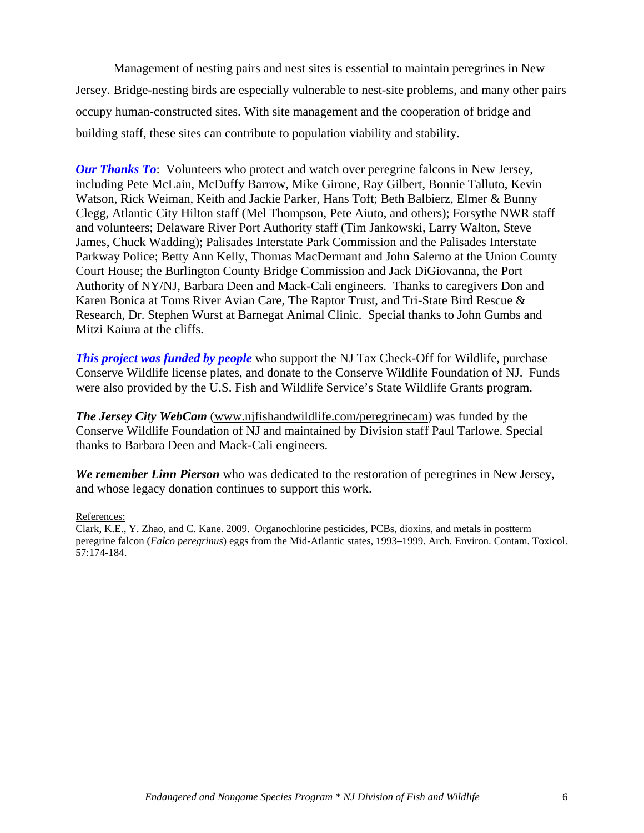Management of nesting pairs and nest sites is essential to maintain peregrines in New Jersey. Bridge-nesting birds are especially vulnerable to nest-site problems, and many other pairs occupy human-constructed sites. With site management and the cooperation of bridge and building staff, these sites can contribute to population viability and stability.

*Our Thanks To*: Volunteers who protect and watch over peregrine falcons in New Jersey, including Pete McLain, McDuffy Barrow, Mike Girone, Ray Gilbert, Bonnie Talluto, Kevin Watson, Rick Weiman, Keith and Jackie Parker, Hans Toft; Beth Balbierz, Elmer & Bunny Clegg, Atlantic City Hilton staff (Mel Thompson, Pete Aiuto, and others); Forsythe NWR staff and volunteers; Delaware River Port Authority staff (Tim Jankowski, Larry Walton, Steve James, Chuck Wadding); Palisades Interstate Park Commission and the Palisades Interstate Parkway Police; Betty Ann Kelly, Thomas MacDermant and John Salerno at the Union County Court House; the Burlington County Bridge Commission and Jack DiGiovanna, the Port Authority of NY/NJ, Barbara Deen and Mack-Cali engineers. Thanks to caregivers Don and Karen Bonica at Toms River Avian Care, The Raptor Trust, and Tri-State Bird Rescue & Research, Dr. Stephen Wurst at Barnegat Animal Clinic. Special thanks to John Gumbs and Mitzi Kaiura at the cliffs.

*This project was funded by people* who support the NJ Tax Check-Off for Wildlife, purchase Conserve Wildlife license plates, and donate to the Conserve Wildlife Foundation of NJ. Funds were also provided by the U.S. Fish and Wildlife Service's State Wildlife Grants program.

*The Jersey City WebCam* ([www.njfishandwildlife.com/peregrinecam](http://www.njfishandwildlife.com/peregrinecam)) was funded by the Conserve Wildlife Foundation of NJ and maintained by Division staff Paul Tarlowe. Special thanks to Barbara Deen and Mack-Cali engineers.

*We remember Linn Pierson* who was dedicated to the restoration of peregrines in New Jersey, and whose legacy donation continues to support this work.

## References:

Clark, K.E., Y. Zhao, and C. Kane. 2009. Organochlorine pesticides, PCBs, dioxins, and metals in postterm peregrine falcon (*Falco peregrinus*) eggs from the Mid-Atlantic states, 1993–1999. Arch. Environ. Contam. Toxicol. 57:174-184.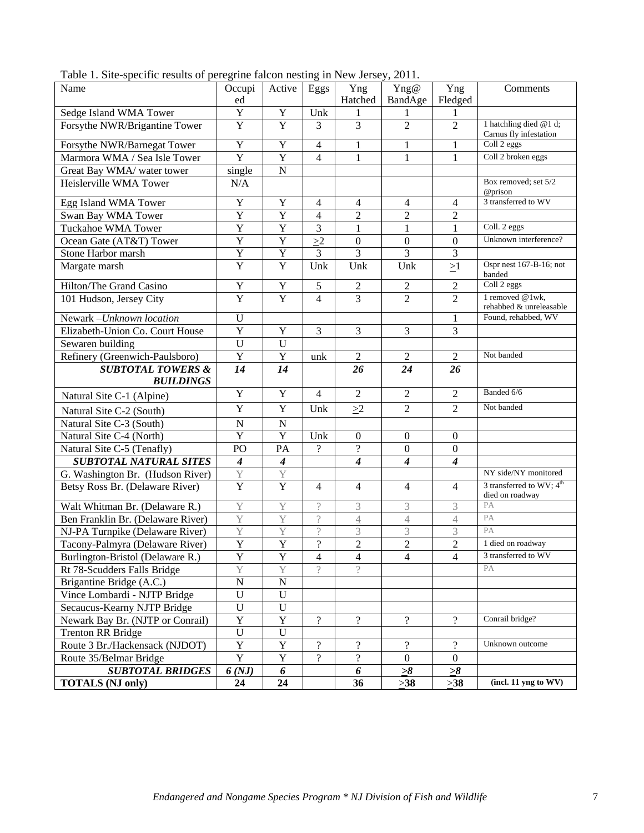| Tubic 1. She specific results of peregrine fareon hesting in from sensey, $2011.$ |                  |                  |                          |                          |                          |                             |                                                         |
|-----------------------------------------------------------------------------------|------------------|------------------|--------------------------|--------------------------|--------------------------|-----------------------------|---------------------------------------------------------|
| Name                                                                              | Occupi<br>ed     | Active           | Eggs                     | Yng<br>Hatched           | Yng@<br>BandAge          | Yng<br>Fledged              | Comments                                                |
| Sedge Island WMA Tower                                                            | $\mathbf Y$      | $\mathbf Y$      | Unk                      | 1                        | 1                        | 1                           |                                                         |
| Forsythe NWR/Brigantine Tower                                                     | $\mathbf Y$      | Y                | 3                        | $\overline{3}$           | $\overline{2}$           | $\overline{2}$              | 1 hatchling died @1 d;                                  |
|                                                                                   |                  |                  |                          |                          |                          |                             | Carnus fly infestation                                  |
| Forsythe NWR/Barnegat Tower                                                       | $\mathbf Y$      | $\mathbf Y$      | $\overline{4}$           | $\mathbf{1}$             | $\mathbf{1}$             | $\mathbf{1}$                | Coll 2 eggs                                             |
| Marmora WMA / Sea Isle Tower                                                      | $\overline{Y}$   | $\overline{Y}$   | $\overline{4}$           | 1                        | $\mathbf{1}$             | $\mathbf{1}$                | Coll 2 broken eggs                                      |
| Great Bay WMA/ water tower                                                        | single           | ${\bf N}$        |                          |                          |                          |                             |                                                         |
| Heislerville WMA Tower                                                            | N/A              |                  |                          |                          |                          |                             | Box removed; set 5/2<br>@prison                         |
| Egg Island WMA Tower                                                              | Y                | Y                | $\overline{4}$           | 4                        | $\overline{4}$           | 4                           | 3 transferred to WV                                     |
| Swan Bay WMA Tower                                                                | $\mathbf Y$      | $\overline{Y}$   | $\overline{4}$           | $\overline{2}$           | $\overline{2}$           | $\overline{2}$              |                                                         |
| Tuckahoe WMA Tower                                                                | $\mathbf Y$      | $\overline{Y}$   | 3                        | $\mathbf{1}$             | $\mathbf{1}$             | 1                           | Coll. 2 eggs                                            |
| Ocean Gate (AT&T) Tower                                                           | Y                | $\overline{Y}$   | $\geq$ 2                 | $\boldsymbol{0}$         | $\mathbf{0}$             | $\boldsymbol{0}$            | Unknown interference?                                   |
| Stone Harbor marsh                                                                | $\mathbf Y$      | $\overline{Y}$   | 3                        | 3                        | $\overline{3}$           | $\overline{3}$              |                                                         |
| Margate marsh                                                                     | $\overline{Y}$   | $\overline{Y}$   | Unk                      | Unk                      | Unk                      | $\geq$ 1                    | Ospr nest 167-B-16; not<br>banded                       |
| Hilton/The Grand Casino                                                           | $\mathbf Y$      | $\mathbf Y$      | 5                        | $\sqrt{2}$               | $\sqrt{2}$               | $\overline{2}$              | Coll 2 eggs                                             |
| 101 Hudson, Jersey City                                                           | $\overline{Y}$   | $\overline{Y}$   | $\overline{4}$           | $\overline{3}$           | $\overline{2}$           | $\overline{2}$              | 1 removed @1wk,<br>rehabbed & unreleasable              |
| Newark-Unknown location                                                           | $\mathbf U$      |                  |                          |                          |                          | 1                           | Found, rehabbed, WV                                     |
| Elizabeth-Union Co. Court House                                                   | $\mathbf Y$      | $\mathbf Y$      | 3                        | 3                        | 3                        | 3                           |                                                         |
| Sewaren building                                                                  | $\mathbf U$      | $\mathbf U$      |                          |                          |                          |                             |                                                         |
| Refinery (Greenwich-Paulsboro)                                                    | $\mathbf Y$      | $\overline{Y}$   | unk                      | $\overline{2}$           | $\overline{2}$           | $\overline{2}$              | Not banded                                              |
| <b>SUBTOTAL TOWERS &amp;</b>                                                      | 14               | 14               |                          | 26                       | 24                       | 26                          |                                                         |
| <b>BUILDINGS</b>                                                                  |                  |                  |                          |                          |                          |                             |                                                         |
| Natural Site C-1 (Alpine)                                                         | $\mathbf Y$      | $\mathbf Y$      | $\overline{4}$           | $\overline{2}$           | $\sqrt{2}$               | $\overline{2}$              | Banded 6/6                                              |
| Natural Site C-2 (South)                                                          | $\mathbf Y$      | $\mathbf Y$      | Unk                      | $\geq$ 2                 | $\overline{2}$           | $\overline{2}$              | Not banded                                              |
| Natural Site C-3 (South)                                                          | ${\bf N}$        | ${\bf N}$        |                          |                          |                          |                             |                                                         |
| Natural Site C-4 (North)                                                          | $\overline{Y}$   | $\overline{Y}$   | Unk                      | $\boldsymbol{0}$         | $\boldsymbol{0}$         | $\mathbf{0}$                |                                                         |
| Natural Site C-5 (Tenafly)                                                        | PO               | PA               | $\overline{?}$           | $\overline{\mathcal{L}}$ | $\mathbf{0}$             | $\mathbf{0}$                |                                                         |
| <b>SUBTOTAL NATURAL SITES</b>                                                     | $\boldsymbol{4}$ | $\boldsymbol{4}$ |                          | $\overline{4}$           | $\overline{4}$           | $\overline{\boldsymbol{4}}$ |                                                         |
| G. Washington Br. (Hudson River)                                                  | Y                | Y                |                          |                          |                          |                             | NY side/NY monitored                                    |
| Betsy Ross Br. (Delaware River)                                                   | $\overline{Y}$   | $\overline{Y}$   | $\overline{4}$           | $\overline{4}$           | $\overline{4}$           | $\overline{4}$              | 3 transferred to WV; $4^{\text{th}}$<br>died on roadway |
| Walt Whitman Br. (Delaware R.)                                                    | Y                | Y                | $\overline{\phantom{a}}$ | 3                        | 3                        | 3                           | PA                                                      |
| Ben Franklin Br. (Delaware River)                                                 | Y                | Y                | $\gamma$                 | $\overline{4}$           | $\overline{4}$           | $\overline{4}$              | PA                                                      |
| NJ-PA Turnpike (Delaware River)                                                   | Y                | Y                | $\gamma$                 | 3                        | 3                        | 3                           | PA                                                      |
| Tacony-Palmyra (Delaware River)                                                   | $\overline{Y}$   | $\overline{Y}$   | $\overline{?}$           | $\overline{2}$           | $\overline{2}$           | $\overline{2}$              | 1 died on roadway                                       |
| Burlington-Bristol (Delaware R.)                                                  | $\mathbf Y$      | Y                | 4                        | $\overline{4}$           | $\overline{4}$           | $\overline{4}$              | 3 transferred to WV                                     |
| Rt 78-Scudders Falls Bridge                                                       | $\overline{Y}$   | $\overline{Y}$   | $\gamma$                 | $\gamma$                 |                          |                             | PA                                                      |
| Brigantine Bridge (A.C.)                                                          | ${\bf N}$        | ${\bf N}$        |                          |                          |                          |                             |                                                         |
| Vince Lombardi - NJTP Bridge                                                      | $\mathbf U$      | $\mathbf U$      |                          |                          |                          |                             |                                                         |
| Secaucus-Kearny NJTP Bridge                                                       | $\mathbf U$      | $\mathbf U$      |                          |                          |                          |                             |                                                         |
| Newark Bay Br. (NJTP or Conrail)                                                  | $\overline{Y}$   | $\overline{Y}$   | $\overline{?}$           | $\overline{\mathcal{L}}$ | $\overline{?}$           | $\overline{?}$              | Conrail bridge?                                         |
| <b>Trenton RR Bridge</b>                                                          | $\mathbf U$      | $\overline{U}$   |                          |                          |                          |                             |                                                         |
| Route 3 Br./Hackensack (NJDOT)                                                    | $\overline{Y}$   | $\overline{Y}$   | $\overline{\mathcal{L}}$ | $\overline{\mathcal{L}}$ | $\overline{\mathcal{L}}$ | $\overline{?}$              | Unknown outcome                                         |
| Route 35/Belmar Bridge                                                            | $\overline{Y}$   | $\overline{Y}$   | $\overline{?}$           | $\overline{\mathcal{L}}$ | $\overline{0}$           | $\mathbf{0}$                |                                                         |
| <b>SUBTOTAL BRIDGES</b>                                                           | 6(NJ)            | 6                |                          | 6                        | $\geq 8$                 | $\geq 8$                    |                                                         |
| <b>TOTALS (NJ only)</b>                                                           | 24               | 24               |                          | 36                       | $\geq$ 38                | >38                         | (incl. 11 yng to WV)                                    |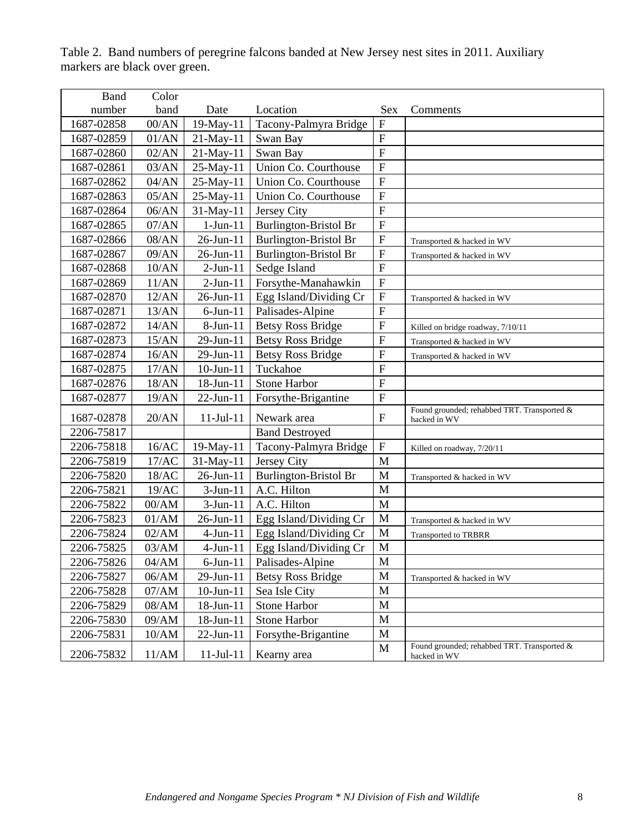| <b>Band</b> | Color            |                 |                                |                           |                                                             |
|-------------|------------------|-----------------|--------------------------------|---------------------------|-------------------------------------------------------------|
| number      | band             | Date            | Location                       | <b>Sex</b>                | Comments                                                    |
| 1687-02858  | $00/AN$          | 19-May-11       | Tacony-Palmyra Bridge          | $\overline{F}$            |                                                             |
| 1687-02859  | 01/AN            | 21-May-11       | Swan Bay                       | $\overline{F}$            |                                                             |
| 1687-02860  | 02/AN            | 21-May-11       | Swan Bay                       | ${\bf F}$                 |                                                             |
| 1687-02861  | 03/AN            | 25-May-11       | Union Co. Courthouse           | $\overline{F}$            |                                                             |
| 1687-02862  | 04/AN            | 25-May-11       | Union Co. Courthouse           | ${\bf F}$                 |                                                             |
| 1687-02863  | 05/AN            | 25-May-11       | Union Co. Courthouse           | ${\bf F}$                 |                                                             |
| 1687-02864  | 06/AN            | 31-May-11       | Jersey City                    | ${\bf F}$                 |                                                             |
| 1687-02865  | 07/AN            | $1-Jun-11$      | <b>Burlington-Bristol Br</b>   | $\overline{F}$            |                                                             |
| 1687-02866  | 08/AN            | 26-Jun-11       | Burlington-Bristol Br          | ${\bf F}$                 | Transported & hacked in WV                                  |
| 1687-02867  | 09/AN            | 26-Jun-11       | <b>Burlington-Bristol Br</b>   | $\boldsymbol{\mathrm{F}}$ | Transported & hacked in WV                                  |
| 1687-02868  | 10/AN            | $2$ -Jun-11     | Sedge Island                   | $\overline{F}$            |                                                             |
| 1687-02869  | 11/AN            | $2-Jun-11$      | Forsythe-Manahawkin            | $\overline{F}$            |                                                             |
| 1687-02870  | 12/AN            | 26-Jun-11       | Egg Island/Dividing Cr         | ${\bf F}$                 | Transported & hacked in WV                                  |
| 1687-02871  | 13/AN            | $6$ -Jun- $11$  | Palisades-Alpine               | ${\bf F}$                 |                                                             |
| 1687-02872  | 14/AN            | 8-Jun-11        | <b>Betsy Ross Bridge</b>       | ${\bf F}$                 | Killed on bridge roadway, 7/10/11                           |
| 1687-02873  | 15/AN            | 29-Jun-11       | <b>Betsy Ross Bridge</b>       | ${\bf F}$                 | Transported & hacked in WV                                  |
| 1687-02874  | 16/AN            | 29-Jun-11       | <b>Betsy Ross Bridge</b>       | $\boldsymbol{\mathrm{F}}$ | Transported & hacked in WV                                  |
| 1687-02875  | 17/AN            | $10$ -Jun- $11$ | Tuckahoe                       | ${\bf F}$                 |                                                             |
| 1687-02876  | 18/AN            | 18-Jun-11       | Stone Harbor                   | $\overline{F}$            |                                                             |
| 1687-02877  | 19/AN            | 22-Jun-11       | Forsythe-Brigantine            | ${\bf F}$                 |                                                             |
| 1687-02878  | 20/AN            | $11-Jul-11$     | Newark area                    | $\boldsymbol{\mathrm{F}}$ | Found grounded; rehabbed TRT. Transported &<br>hacked in WV |
| 2206-75817  |                  |                 | <b>Band Destroyed</b>          |                           |                                                             |
| 2206-75818  | 16/AC            | 19-May-11       | Tacony-Palmyra Bridge          | ${\bf F}$                 | Killed on roadway, 7/20/11                                  |
| 2206-75819  | 17/AC            | 31-May-11       | Jersey City                    | M                         |                                                             |
| 2206-75820  | 18/AC            | 26-Jun-11       | <b>Burlington-Bristol Br</b>   | M                         | Transported & hacked in WV                                  |
| 2206-75821  | 19/AC            | $3-Jun-11$      | A.C. Hilton                    | M                         |                                                             |
| 2206-75822  | 00/AM            | $3-Jun-11$      | A.C. Hilton                    | M                         |                                                             |
| 2206-75823  | 01/AM            | 26-Jun-11       | Egg Island/Dividing Cr         | M                         | Transported & hacked in WV                                  |
| 2206-75824  | 02/AM            | $4-Jun-11$      | Egg Island/Dividing Cr         | M                         | <b>Transported to TRBRR</b>                                 |
| 2206-75825  | 03/AM            | $4$ -Jun- $11$  | Egg Island/Dividing Cr         | M                         |                                                             |
| 2206-75826  | $04/\mathrm{AM}$ |                 | $6$ -Jun-11   Palisades-Alpine | $\mathbf M$               |                                                             |
| 2206-75827  | 06/AM            | 29-Jun-11       | <b>Betsy Ross Bridge</b>       | M                         | Transported & hacked in WV                                  |
| 2206-75828  | 07/AM            | $10$ -Jun- $11$ | Sea Isle City                  | M                         |                                                             |
| 2206-75829  | 08/AM            | 18-Jun-11       | Stone Harbor                   | M                         |                                                             |
| 2206-75830  | 09/AM            | 18-Jun-11       | Stone Harbor                   | M                         |                                                             |
| 2206-75831  | 10/AM            | 22-Jun-11       | Forsythe-Brigantine            | M                         |                                                             |
| 2206-75832  | 11/AM            | $11-Jul-11$     | Kearny area                    | $\mathbf M$               | Found grounded; rehabbed TRT. Transported &<br>hacked in WV |

Table 2. Band numbers of peregrine falcons banded at New Jersey nest sites in 2011. Auxiliary markers are black over green.